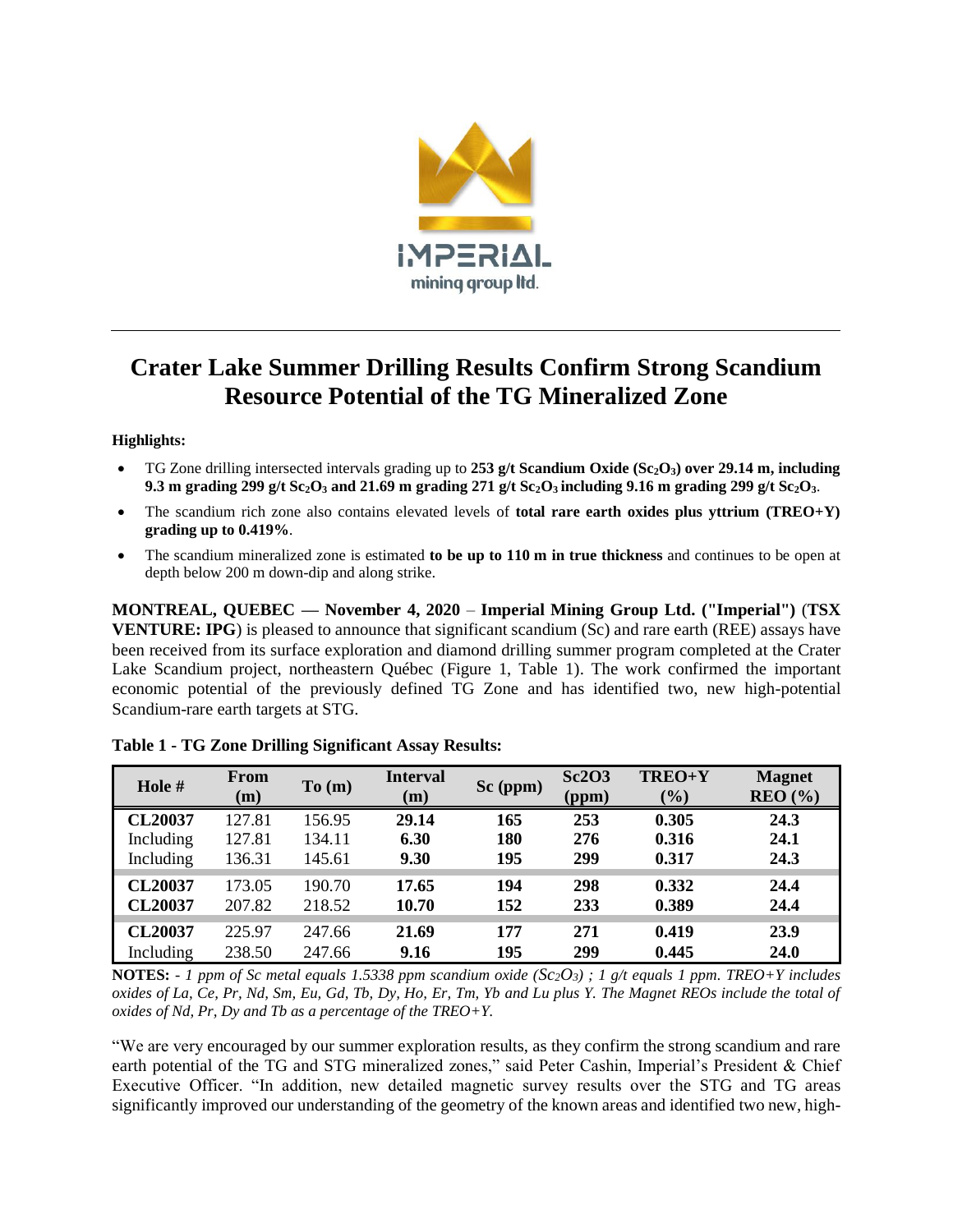

# **Crater Lake Summer Drilling Results Confirm Strong Scandium Resource Potential of the TG Mineralized Zone**

#### **Highlights:**

- TG Zone drilling intersected intervals grading up to **253 g/t Scandium Oxide (Sc2O3) over 29.14 m, including**  9.3 m grading 299 g/t Sc<sub>2</sub>O<sub>3</sub> and 21.69 m grading 271 g/t Sc<sub>2</sub>O<sub>3</sub> including 9.16 m grading 299 g/t Sc<sub>2</sub>O<sub>3</sub>.
- The scandium rich zone also contains elevated levels of **total rare earth oxides plus yttrium (TREO+Y) grading up to 0.419%**.
- The scandium mineralized zone is estimated **to be up to 110 m in true thickness** and continues to be open at depth below 200 m down-dip and along strike.

**MONTREAL, QUEBEC — November 4, 2020** – **Imperial Mining Group Ltd. ("Imperial")** (**TSX VENTURE: IPG**) is pleased to announce that significant scandium (Sc) and rare earth (REE) assays have been received from its surface exploration and diamond drilling summer program completed at the Crater Lake Scandium project, northeastern Québec (Figure 1, Table 1). The work confirmed the important economic potential of the previously defined TG Zone and has identified two, new high-potential Scandium-rare earth targets at STG.

| Hole #         | From<br>(m) | To(m)  | <b>Interval</b><br>(m) | Sc (ppm) | <b>Sc2O3</b><br>(ppm) | TREO+Y<br>$(\%)$ | <b>Magnet</b><br>REO(%) |
|----------------|-------------|--------|------------------------|----------|-----------------------|------------------|-------------------------|
| <b>CL20037</b> | 127.81      | 156.95 | 29.14                  | 165      | 253                   | 0.305            | 24.3                    |
| Including      | 127.81      | 134.11 | 6.30                   | 180      | 276                   | 0.316            | 24.1                    |
| Including      | 136.31      | 145.61 | 9.30                   | 195      | 299                   | 0.317            | 24.3                    |
| <b>CL20037</b> | 173.05      | 190.70 | 17.65                  | 194      | 298                   | 0.332            | 24.4                    |
| <b>CL20037</b> | 207.82      | 218.52 | 10.70                  | 152      | 233                   | 0.389            | 24.4                    |
| <b>CL20037</b> | 225.97      | 247.66 | 21.69                  | 177      | 271                   | 0.419            | 23.9                    |
| Including      | 238.50      | 247.66 | 9.16                   | 195      | 299                   | 0.445            | 24.0                    |

**Table 1 - TG Zone Drilling Significant Assay Results:**

**NOTES:** - *1 ppm of Sc metal equals 1.5338 ppm scandium oxide (Sc2O3) ; 1 g/t equals 1 ppm. TREO+Y includes oxides of La, Ce, Pr, Nd, Sm, Eu, Gd, Tb, Dy, Ho, Er, Tm, Yb and Lu plus Y. The Magnet REOs include the total of oxides of Nd, Pr, Dy and Tb as a percentage of the TREO+Y.* 

"We are very encouraged by our summer exploration results, as they confirm the strong scandium and rare earth potential of the TG and STG mineralized zones," said Peter Cashin, Imperial's President & Chief Executive Officer. "In addition, new detailed magnetic survey results over the STG and TG areas significantly improved our understanding of the geometry of the known areas and identified two new, high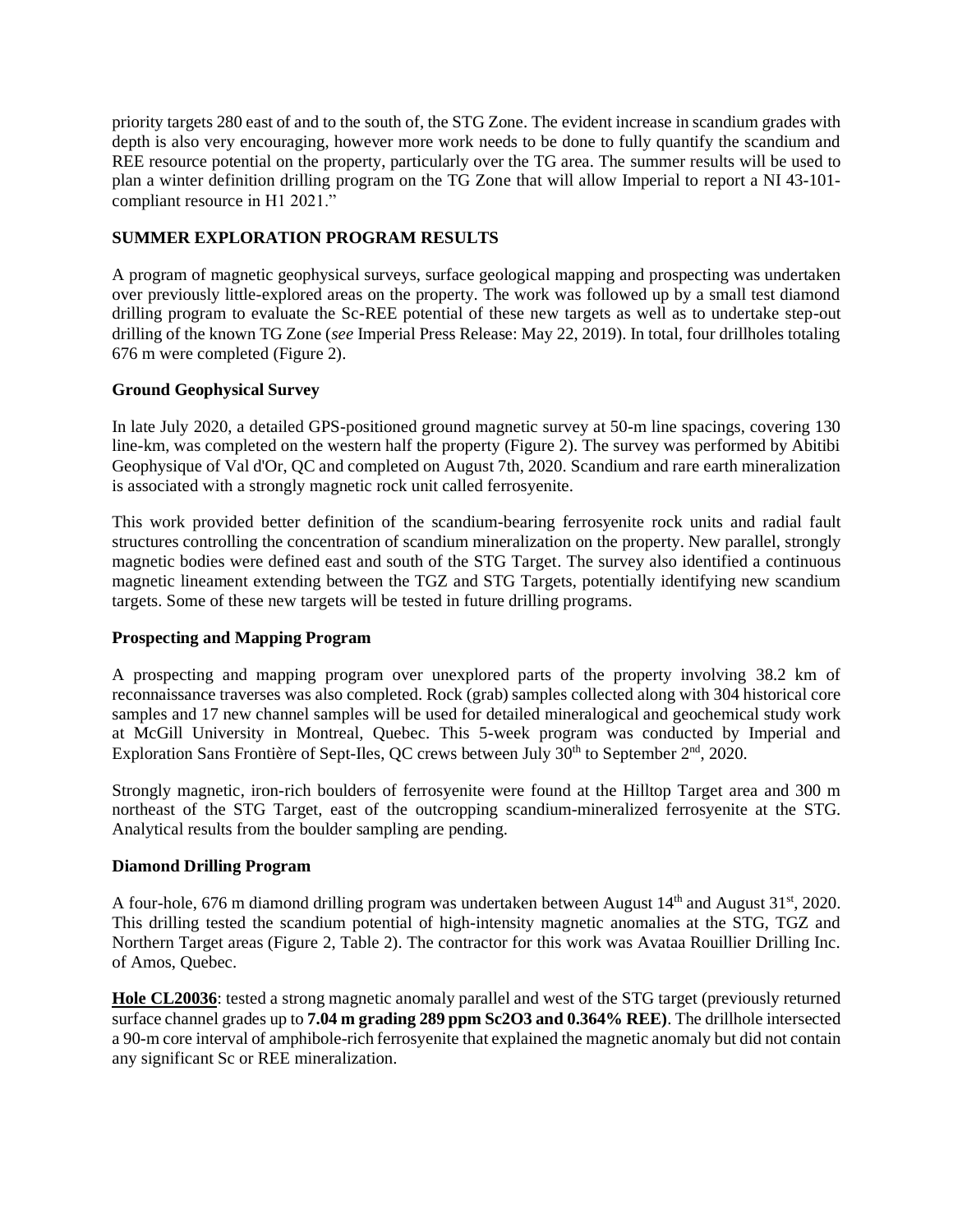priority targets 280 east of and to the south of, the STG Zone. The evident increase in scandium grades with depth is also very encouraging, however more work needs to be done to fully quantify the scandium and REE resource potential on the property, particularly over the TG area. The summer results will be used to plan a winter definition drilling program on the TG Zone that will allow Imperial to report a NI 43-101 compliant resource in H1 2021."

## **SUMMER EXPLORATION PROGRAM RESULTS**

A program of magnetic geophysical surveys, surface geological mapping and prospecting was undertaken over previously little-explored areas on the property. The work was followed up by a small test diamond drilling program to evaluate the Sc-REE potential of these new targets as well as to undertake step-out drilling of the known TG Zone (*see* Imperial Press Release: May 22, 2019). In total, four drillholes totaling 676 m were completed (Figure 2).

### **Ground Geophysical Survey**

In late July 2020, a detailed GPS-positioned ground magnetic survey at 50-m line spacings, covering 130 line-km, was completed on the western half the property (Figure 2). The survey was performed by Abitibi Geophysique of Val d'Or, QC and completed on August 7th, 2020. Scandium and rare earth mineralization is associated with a strongly magnetic rock unit called ferrosyenite.

This work provided better definition of the scandium-bearing ferrosyenite rock units and radial fault structures controlling the concentration of scandium mineralization on the property. New parallel, strongly magnetic bodies were defined east and south of the STG Target. The survey also identified a continuous magnetic lineament extending between the TGZ and STG Targets, potentially identifying new scandium targets. Some of these new targets will be tested in future drilling programs.

#### **Prospecting and Mapping Program**

A prospecting and mapping program over unexplored parts of the property involving 38.2 km of reconnaissance traverses was also completed. Rock (grab) samples collected along with 304 historical core samples and 17 new channel samples will be used for detailed mineralogical and geochemical study work at McGill University in Montreal, Quebec. This 5-week program was conducted by Imperial and Exploration Sans Frontière of Sept-Iles, QC crews between July 30<sup>th</sup> to September 2<sup>nd</sup>, 2020.

Strongly magnetic, iron-rich boulders of ferrosyenite were found at the Hilltop Target area and 300 m northeast of the STG Target, east of the outcropping scandium-mineralized ferrosyenite at the STG. Analytical results from the boulder sampling are pending.

#### **Diamond Drilling Program**

A four-hole, 676 m diamond drilling program was undertaken between August 14<sup>th</sup> and August 31<sup>st</sup>, 2020. This drilling tested the scandium potential of high-intensity magnetic anomalies at the STG, TGZ and Northern Target areas (Figure 2, Table 2). The contractor for this work was Avataa Rouillier Drilling Inc. of Amos, Quebec.

**Hole CL20036**: tested a strong magnetic anomaly parallel and west of the STG target (previously returned surface channel grades up to **7.04 m grading 289 ppm Sc2O3 and 0.364% REE)**. The drillhole intersected a 90-m core interval of amphibole-rich ferrosyenite that explained the magnetic anomaly but did not contain any significant Sc or REE mineralization.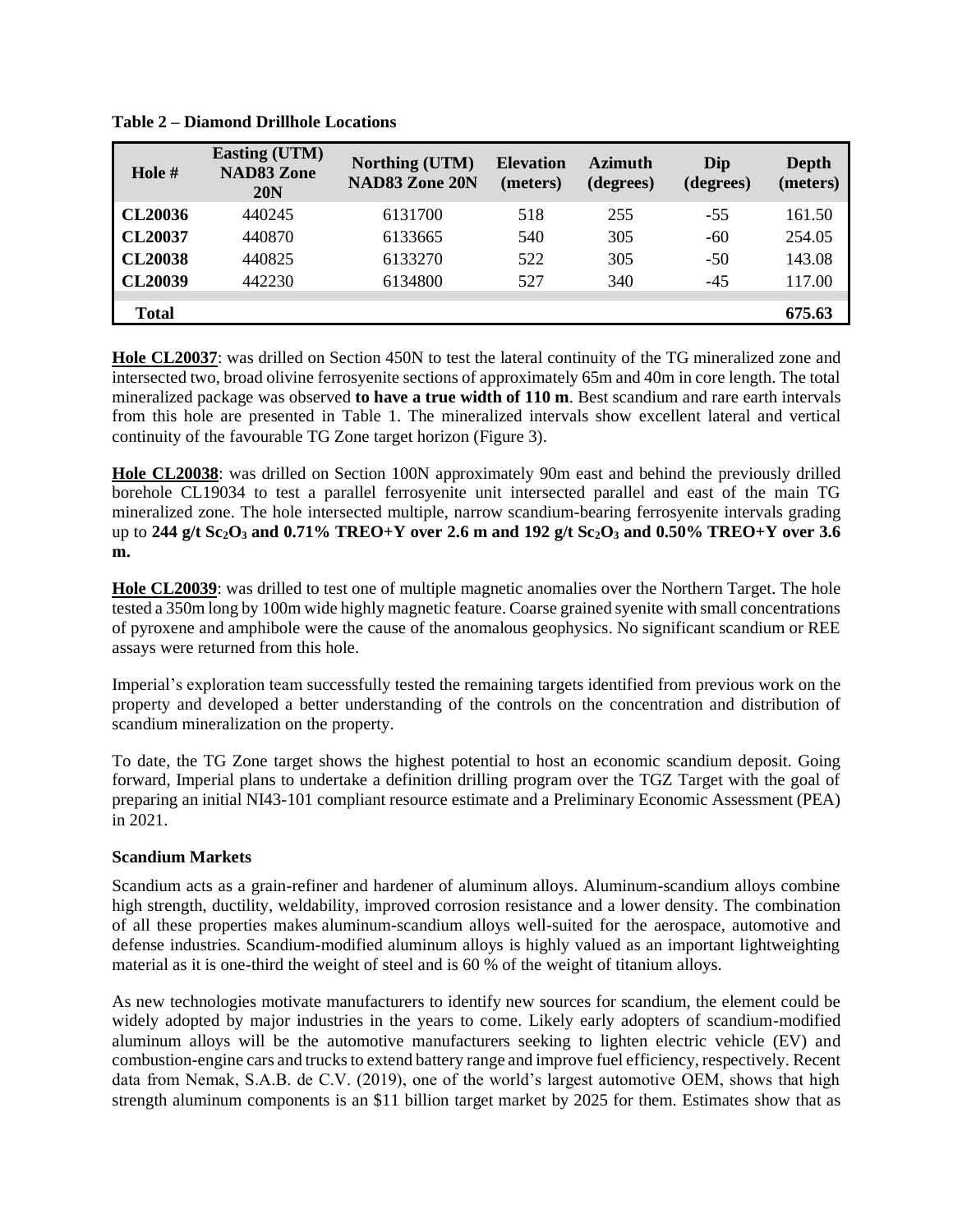| Hole $#$       | <b>Easting (UTM)</b><br><b>NAD83 Zone</b><br><b>20N</b> | Northing (UTM)<br><b>NAD83 Zone 20N</b> | <b>Elevation</b><br>(meters) | <b>Azimuth</b><br>(degrees) | Dip<br>(degrees) | Depth<br>(meters) |
|----------------|---------------------------------------------------------|-----------------------------------------|------------------------------|-----------------------------|------------------|-------------------|
| <b>CL20036</b> | 440245                                                  | 6131700                                 | 518                          | 255                         | $-55$            | 161.50            |
| <b>CL20037</b> | 440870                                                  | 6133665                                 | 540                          | 305                         | $-60$            | 254.05            |
| <b>CL20038</b> | 440825                                                  | 6133270                                 | 522                          | 305                         | $-50$            | 143.08            |
| CL20039        | 442230                                                  | 6134800                                 | 527                          | 340                         | $-45$            | 117.00            |
| <b>Total</b>   |                                                         |                                         |                              |                             |                  | 675.63            |

**Table 2 – Diamond Drillhole Locations**

**Hole CL20037**: was drilled on Section 450N to test the lateral continuity of the TG mineralized zone and intersected two, broad olivine ferrosyenite sections of approximately 65m and 40m in core length. The total mineralized package was observed **to have a true width of 110 m**. Best scandium and rare earth intervals from this hole are presented in Table 1. The mineralized intervals show excellent lateral and vertical continuity of the favourable TG Zone target horizon (Figure 3).

**Hole CL20038**: was drilled on Section 100N approximately 90m east and behind the previously drilled borehole CL19034 to test a parallel ferrosyenite unit intersected parallel and east of the main TG mineralized zone. The hole intersected multiple, narrow scandium-bearing ferrosyenite intervals grading up to **244 g/t Sc2O<sup>3</sup> and 0.71% TREO+Y over 2.6 m and 192 g/t Sc2O<sup>3</sup> and 0.50% TREO+Y over 3.6 m.**

**Hole CL20039**: was drilled to test one of multiple magnetic anomalies over the Northern Target. The hole tested a 350m long by 100m wide highly magnetic feature. Coarse grained syenite with small concentrations of pyroxene and amphibole were the cause of the anomalous geophysics. No significant scandium or REE assays were returned from this hole.

Imperial's exploration team successfully tested the remaining targets identified from previous work on the property and developed a better understanding of the controls on the concentration and distribution of scandium mineralization on the property.

To date, the TG Zone target shows the highest potential to host an economic scandium deposit. Going forward, Imperial plans to undertake a definition drilling program over the TGZ Target with the goal of preparing an initial NI43-101 compliant resource estimate and a Preliminary Economic Assessment (PEA) in 2021.

#### **Scandium Markets**

Scandium acts as a grain-refiner and hardener of aluminum alloys. Aluminum-scandium alloys combine high strength, ductility, weldability, improved corrosion resistance and a lower density. The combination of all these properties makes aluminum-scandium alloys well-suited for the aerospace, automotive and defense industries. Scandium-modified aluminum alloys is highly valued as an important lightweighting material as it is one-third the weight of steel and is 60 % of the weight of titanium alloys.

As new [technologies](https://investingnews.com/category/daily/tech-investing/) motivate manufacturers to identify new sources for scandium, the element could be widely adopted by major industries in the years to come. Likely early adopters of scandium-modified aluminum alloys will be the automotive manufacturers seeking to lighten electric vehicle (EV) and combustion-engine cars and trucks to extend battery range and improve fuel efficiency, respectively. Recent data from Nemak, S.A.B. de C.V. (2019), one of the world's largest automotive OEM, shows that high strength aluminum components is an \$11 billion target market by 2025 for them. Estimates show that as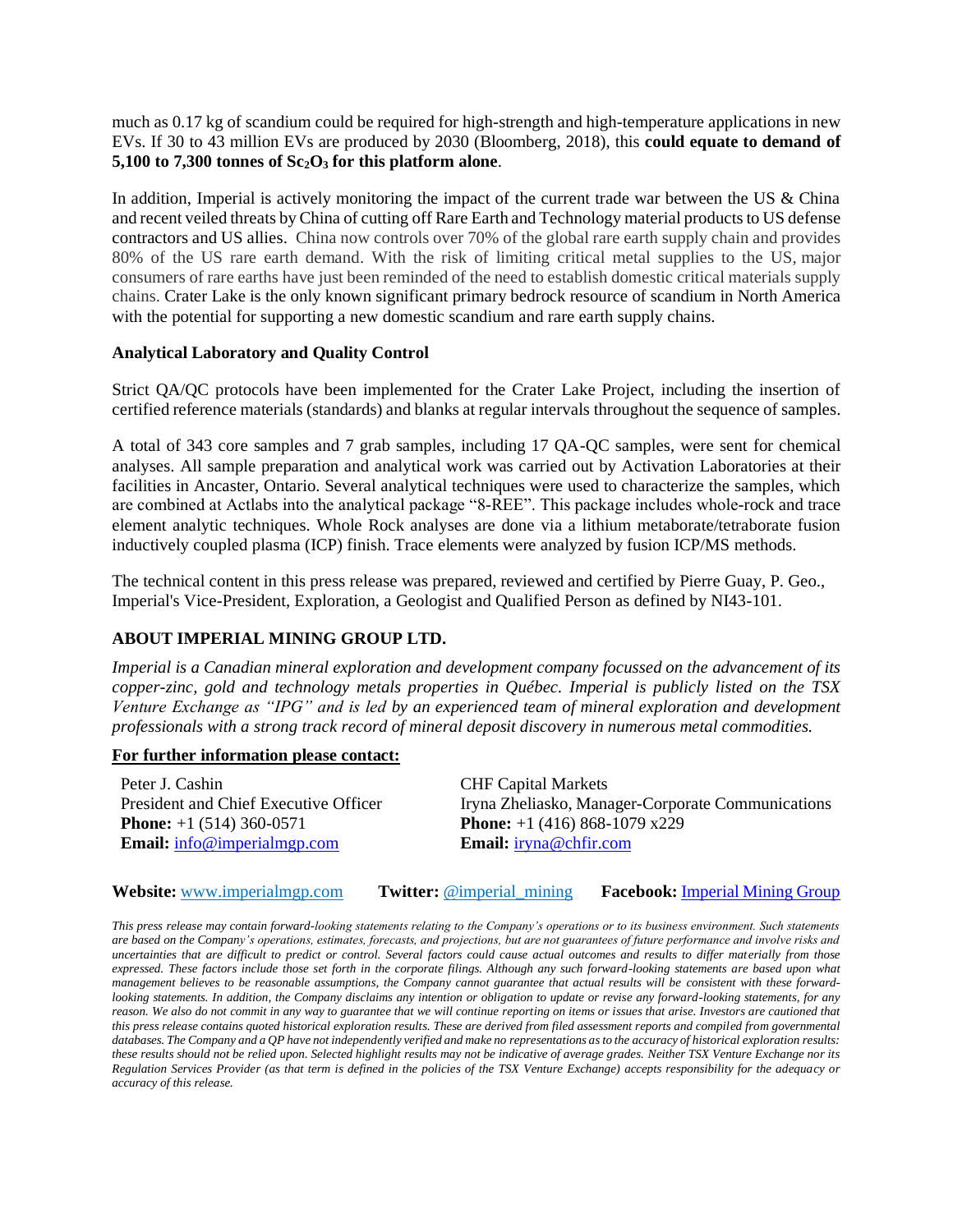much as 0.17 kg of scandium could be required for high-strength and high-temperature applications in new EVs. If 30 to 43 million EVs are produced by 2030 (Bloomberg, 2018), this **could equate to demand of 5,100 to 7,300 tonnes of Sc2O<sup>3</sup> for this platform alone**.

In addition, Imperial is actively monitoring the impact of the current trade war between the US & China and recent veiled threats by China of cutting off Rare Earth and Technology material products to US defense contractors and US allies. China now controls over 70% of the global rare earth supply chain and provides 80% of the US rare earth demand. With the risk of limiting critical metal supplies to the US, major consumers of rare earths have just been reminded of the need to establish domestic critical materials supply chains. Crater Lake is the only known significant primary bedrock resource of scandium in North America with the potential for supporting a new domestic scandium and rare earth supply chains.

#### **Analytical Laboratory and Quality Control**

Strict QA/QC protocols have been implemented for the Crater Lake Project, including the insertion of certified reference materials (standards) and blanks at regular intervals throughout the sequence of samples.

A total of 343 core samples and 7 grab samples, including 17 QA-QC samples, were sent for chemical analyses. All sample preparation and analytical work was carried out by Activation Laboratories at their facilities in Ancaster, Ontario. Several analytical techniques were used to characterize the samples, which are combined at Actlabs into the analytical package "8-REE". This package includes whole-rock and trace element analytic techniques. Whole Rock analyses are done via a lithium metaborate/tetraborate fusion inductively coupled plasma (ICP) finish. Trace elements were analyzed by fusion ICP/MS methods.

The technical content in this press release was prepared, reviewed and certified by Pierre Guay, P. Geo., Imperial's Vice-President, Exploration, a Geologist and Qualified Person as defined by NI43-101.

# **ABOUT IMPERIAL MINING GROUP LTD.**

*Imperial is a Canadian mineral exploration and development company focussed on the advancement of its copper-zinc, gold and technology metals properties in Québec. Imperial is publicly listed on the TSX Venture Exchange as "IPG" and is led by an experienced team of mineral exploration and development professionals with a strong track record of mineral deposit discovery in numerous metal commodities.* 

#### **For further information please contact:**

| Peter J. Cashin                       | <b>CHF Capital Markets</b>                        |
|---------------------------------------|---------------------------------------------------|
| President and Chief Executive Officer | Iryna Zheliasko, Manager-Corporate Communications |
| <b>Phone:</b> $+1$ (514) 360-0571     | <b>Phone:</b> $+1$ (416) 868-1079 x229            |
| <b>Email:</b> $info@imperialmp.com$   | <b>Email:</b> $iryna@chfir.com$                   |
|                                       |                                                   |

**Website:** [www.imperialmgp.com](http://www.imperialmgp.com/) **Twitter:** @imperial\_mining **Facebook:** [Imperial Mining Group](https://www.facebook.com/Imperial-Mining-Group-123912795667445/)

*This press release may contain forward-looking statements relating to the Company's operations or to its business environment. Such statements are based on the Company's operations, estimates, forecasts, and projections, but are not guarantees of future performance and involve risks and uncertainties that are difficult to predict or control. Several factors could cause actual outcomes and results to differ materially from those expressed. These factors include those set forth in the corporate filings. Although any such forward-looking statements are based upon what management believes to be reasonable assumptions, the Company cannot guarantee that actual results will be consistent with these forwardlooking statements. In addition, the Company disclaims any intention or obligation to update or revise any forward-looking statements, for any reason. We also do not commit in any way to guarantee that we will continue reporting on items or issues that arise. Investors are cautioned that this press release contains quoted historical exploration results. These are derived from filed assessment reports and compiled from governmental databases. The Company and a QP have not independently verified and make no representations as to the accuracy of historical exploration results: these results should not be relied upon. Selected highlight results may not be indicative of average grades. Neither TSX Venture Exchange nor its Regulation Services Provider (as that term is defined in the policies of the TSX Venture Exchange) accepts responsibility for the adequacy or accuracy of this release.*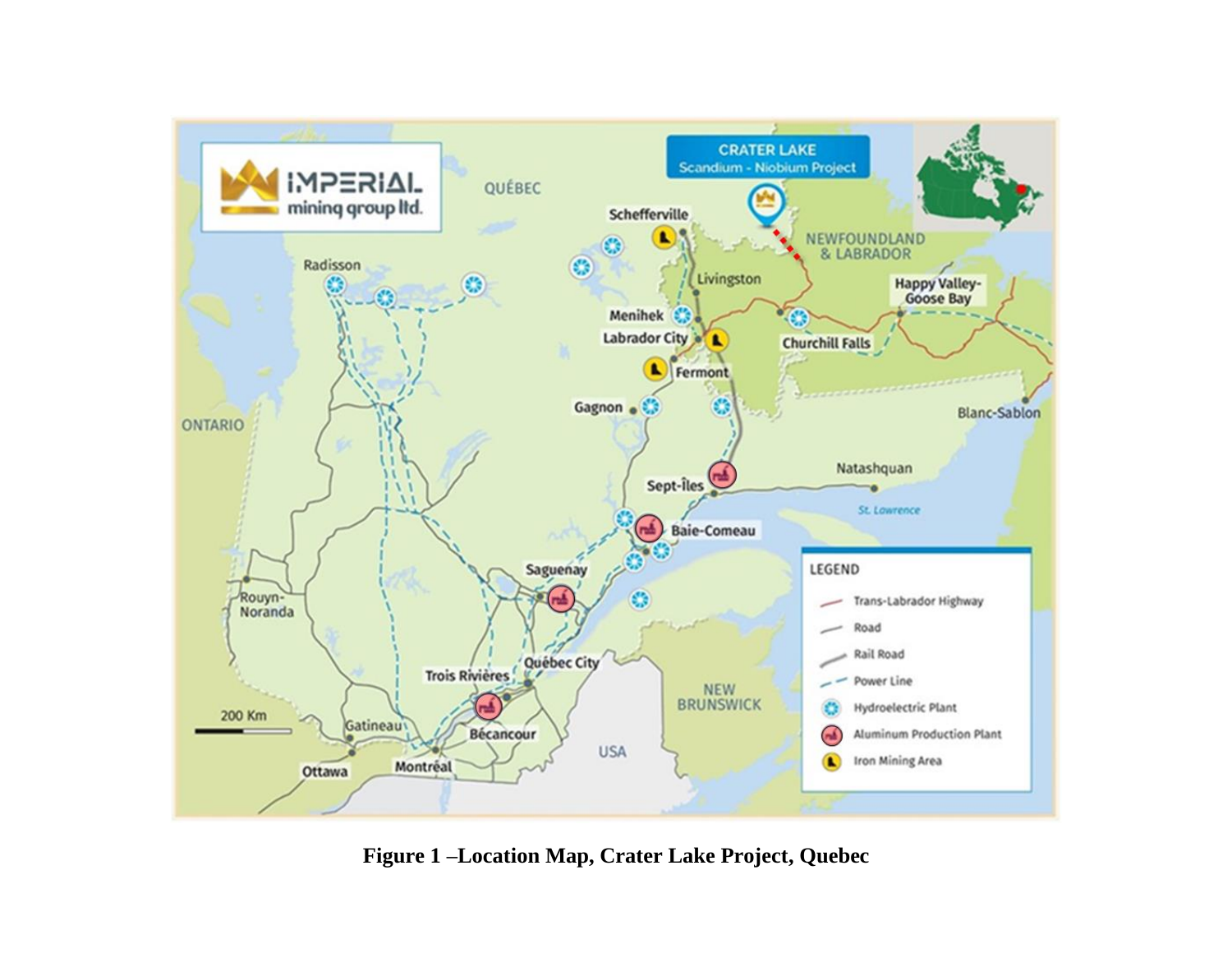

**Figure 1 –Location Map, Crater Lake Project, Quebec**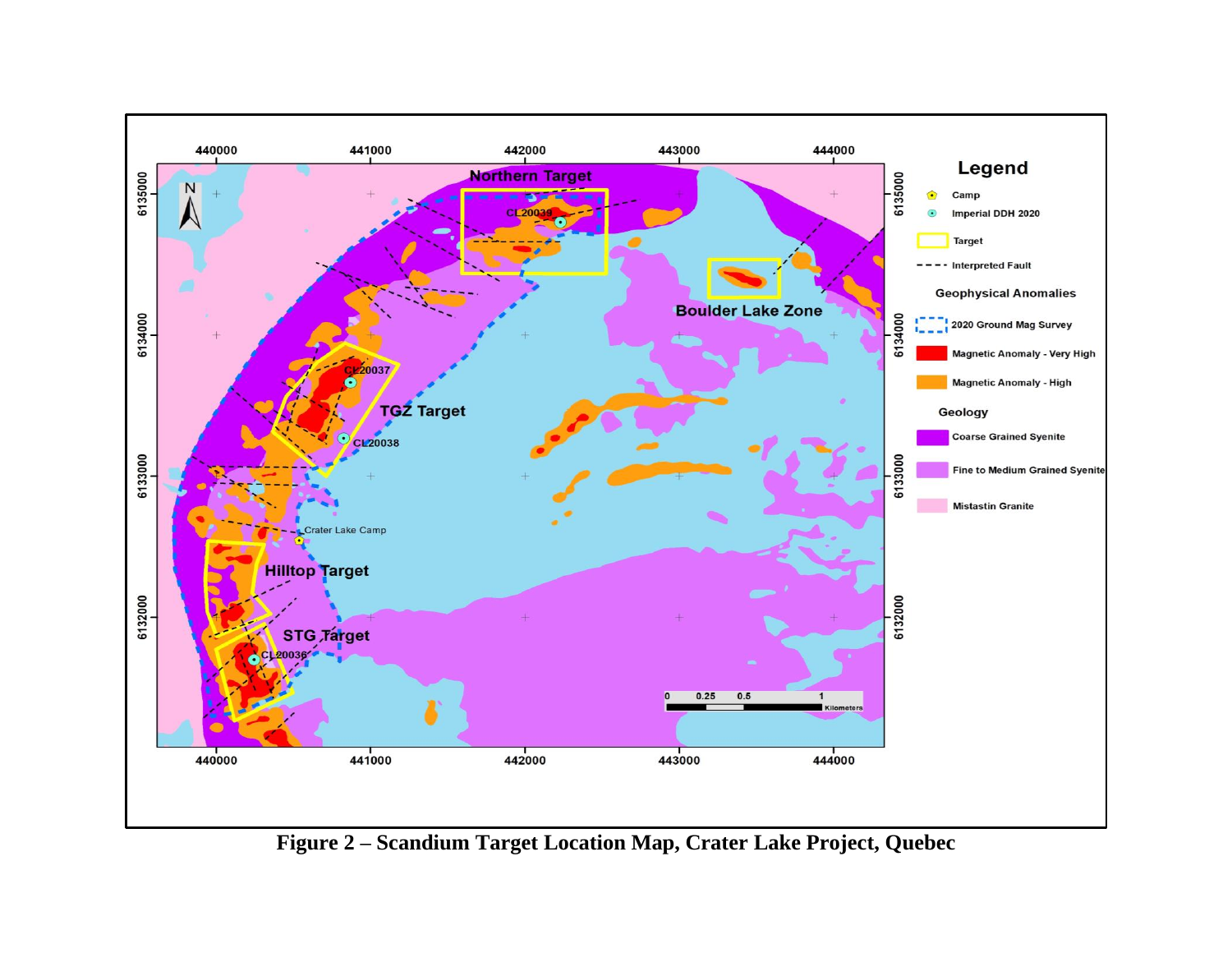

**Figure 2 – Scandium Target Location Map, Crater Lake Project, Quebec**